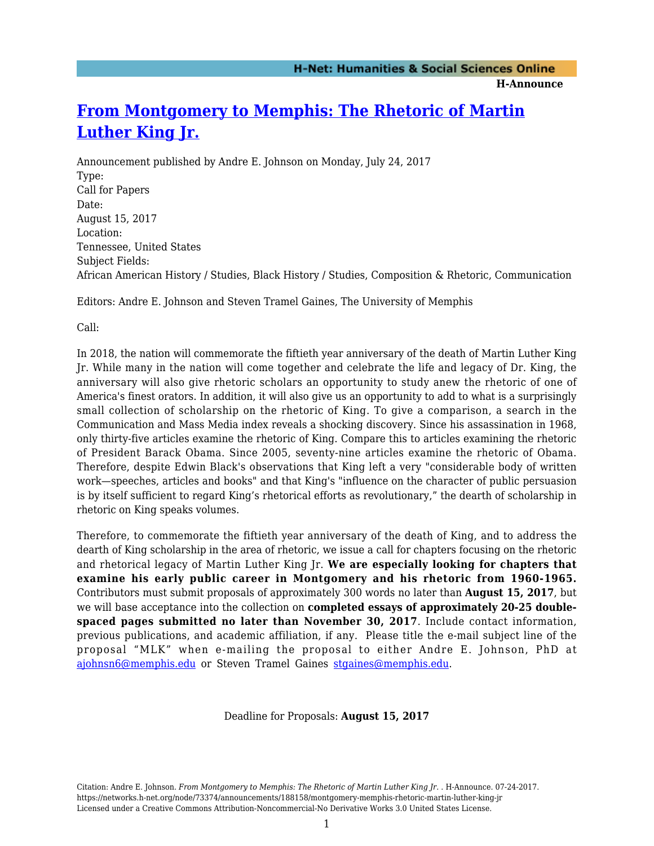**H-Announce** 

## **[From Montgomery to Memphis: The Rhetoric of Martin](https://networks.h-net.org/node/73374/announcements/188158/montgomery-memphis-rhetoric-martin-luther-king-jr) [Luther King Jr.](https://networks.h-net.org/node/73374/announcements/188158/montgomery-memphis-rhetoric-martin-luther-king-jr)**

Announcement published by Andre E. Johnson on Monday, July 24, 2017 Type: Call for Papers Date: August 15, 2017 Location: Tennessee, United States Subject Fields: African American History / Studies, Black History / Studies, Composition & Rhetoric, Communication

Editors: Andre E. Johnson and Steven Tramel Gaines, The University of Memphis

Call:

In 2018, the nation will commemorate the fiftieth year anniversary of the death of Martin Luther King Jr. While many in the nation will come together and celebrate the life and legacy of Dr. King, the anniversary will also give rhetoric scholars an opportunity to study anew the rhetoric of one of America's finest orators. In addition, it will also give us an opportunity to add to what is a surprisingly small collection of scholarship on the rhetoric of King. To give a comparison, a search in the Communication and Mass Media index reveals a shocking discovery. Since his assassination in 1968, only thirty-five articles examine the rhetoric of King. Compare this to articles examining the rhetoric of President Barack Obama. Since 2005, seventy-nine articles examine the rhetoric of Obama. Therefore, despite Edwin Black's observations that King left a very "considerable body of written work—speeches, articles and books" and that King's "influence on the character of public persuasion is by itself sufficient to regard King's rhetorical efforts as revolutionary," the dearth of scholarship in rhetoric on King speaks volumes.

Therefore, to commemorate the fiftieth year anniversary of the death of King, and to address the dearth of King scholarship in the area of rhetoric, we issue a call for chapters focusing on the rhetoric and rhetorical legacy of Martin Luther King Jr. **We are especially looking for chapters that examine his early public career in Montgomery and his rhetoric from 1960-1965.** Contributors must submit proposals of approximately 300 words no later than **August 15, 2017**, but we will base acceptance into the collection on **completed essays of approximately 20-25 doublespaced pages submitted no later than November 30, 2017**. Include contact information, previous publications, and academic affiliation, if any. Please title the e-mail subject line of the proposal "MLK" when e-mailing the proposal to either Andre E. Johnson, PhD at [ajohnsn6@memphis.edu](mailto:ajohnsn6@memphis.edu) or Steven Tramel Gaines [stgaines@memphis.edu](mailto:stgaines@memphis.edu).

Deadline for Proposals: **August 15, 2017**

Citation: Andre E. Johnson. *From Montgomery to Memphis: The Rhetoric of Martin Luther King Jr.* . H-Announce. 07-24-2017. https://networks.h-net.org/node/73374/announcements/188158/montgomery-memphis-rhetoric-martin-luther-king-jr Licensed under a Creative Commons Attribution-Noncommercial-No Derivative Works 3.0 United States License.